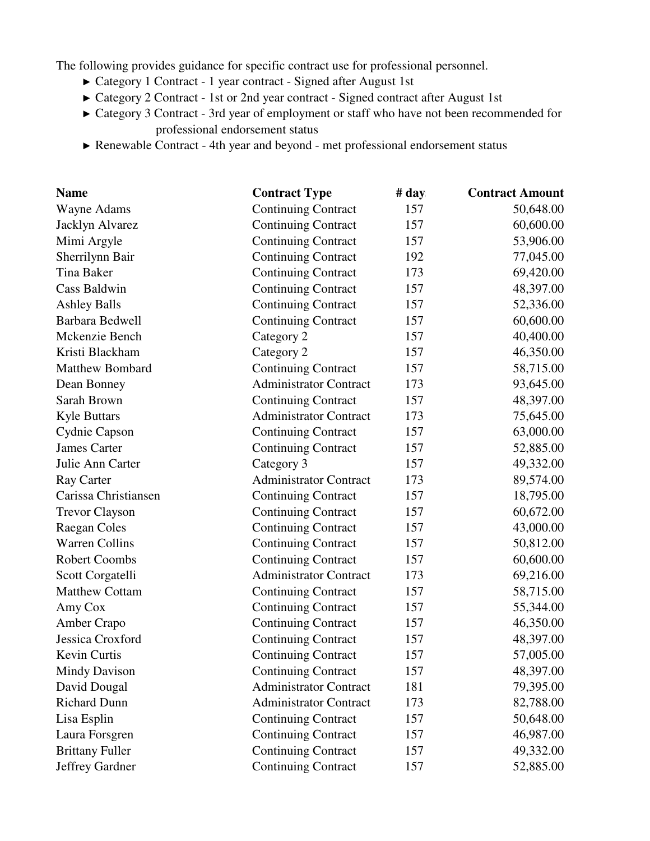The following provides guidance for specific contract use for professional personnel.

- ► Category 1 Contract 1 year contract Signed after August 1st
- ► Category 2 Contract 1st or 2nd year contract Signed contract after August 1st
- ► Category 3 Contract 3rd year of employment or staff who have not been recommended for professional endorsement status
- ► Renewable Contract 4th year and beyond met professional endorsement status

| <b>Name</b>            | <b>Contract Type</b>          | # day | <b>Contract Amount</b> |
|------------------------|-------------------------------|-------|------------------------|
| Wayne Adams            | <b>Continuing Contract</b>    | 157   | 50,648.00              |
| Jacklyn Alvarez        | <b>Continuing Contract</b>    | 157   | 60,600.00              |
| Mimi Argyle            | <b>Continuing Contract</b>    | 157   | 53,906.00              |
| Sherrilynn Bair        | <b>Continuing Contract</b>    | 192   | 77,045.00              |
| Tina Baker             | <b>Continuing Contract</b>    | 173   | 69,420.00              |
| Cass Baldwin           | <b>Continuing Contract</b>    | 157   | 48,397.00              |
| <b>Ashley Balls</b>    | <b>Continuing Contract</b>    | 157   | 52,336.00              |
| Barbara Bedwell        | <b>Continuing Contract</b>    | 157   | 60,600.00              |
| Mckenzie Bench         | Category 2                    | 157   | 40,400.00              |
| Kristi Blackham        | Category 2                    | 157   | 46,350.00              |
| <b>Matthew Bombard</b> | <b>Continuing Contract</b>    | 157   | 58,715.00              |
| Dean Bonney            | <b>Administrator Contract</b> | 173   | 93,645.00              |
| Sarah Brown            | <b>Continuing Contract</b>    | 157   | 48,397.00              |
| <b>Kyle Buttars</b>    | <b>Administrator Contract</b> | 173   | 75,645.00              |
| Cydnie Capson          | <b>Continuing Contract</b>    | 157   | 63,000.00              |
| <b>James Carter</b>    | <b>Continuing Contract</b>    | 157   | 52,885.00              |
| Julie Ann Carter       | Category 3                    | 157   | 49,332.00              |
| Ray Carter             | <b>Administrator Contract</b> | 173   | 89,574.00              |
| Carissa Christiansen   | <b>Continuing Contract</b>    | 157   | 18,795.00              |
| <b>Trevor Clayson</b>  | <b>Continuing Contract</b>    | 157   | 60,672.00              |
| Raegan Coles           | <b>Continuing Contract</b>    | 157   | 43,000.00              |
| <b>Warren Collins</b>  | <b>Continuing Contract</b>    | 157   | 50,812.00              |
| <b>Robert Coombs</b>   | <b>Continuing Contract</b>    | 157   | 60,600.00              |
| Scott Corgatelli       | <b>Administrator Contract</b> | 173   | 69,216.00              |
| <b>Matthew Cottam</b>  | <b>Continuing Contract</b>    | 157   | 58,715.00              |
| Amy Cox                | <b>Continuing Contract</b>    | 157   | 55,344.00              |
| Amber Crapo            | <b>Continuing Contract</b>    | 157   | 46,350.00              |
| Jessica Croxford       | <b>Continuing Contract</b>    | 157   | 48,397.00              |
| Kevin Curtis           | <b>Continuing Contract</b>    | 157   | 57,005.00              |
| Mindy Davison          | <b>Continuing Contract</b>    | 157   | 48,397.00              |
| David Dougal           | <b>Administrator Contract</b> | 181   | 79,395.00              |
| <b>Richard Dunn</b>    | <b>Administrator Contract</b> | 173   | 82,788.00              |
| Lisa Esplin            | <b>Continuing Contract</b>    | 157   | 50,648.00              |
| Laura Forsgren         | <b>Continuing Contract</b>    | 157   | 46,987.00              |
| <b>Brittany Fuller</b> | <b>Continuing Contract</b>    | 157   | 49,332.00              |
| Jeffrey Gardner        | <b>Continuing Contract</b>    | 157   | 52,885.00              |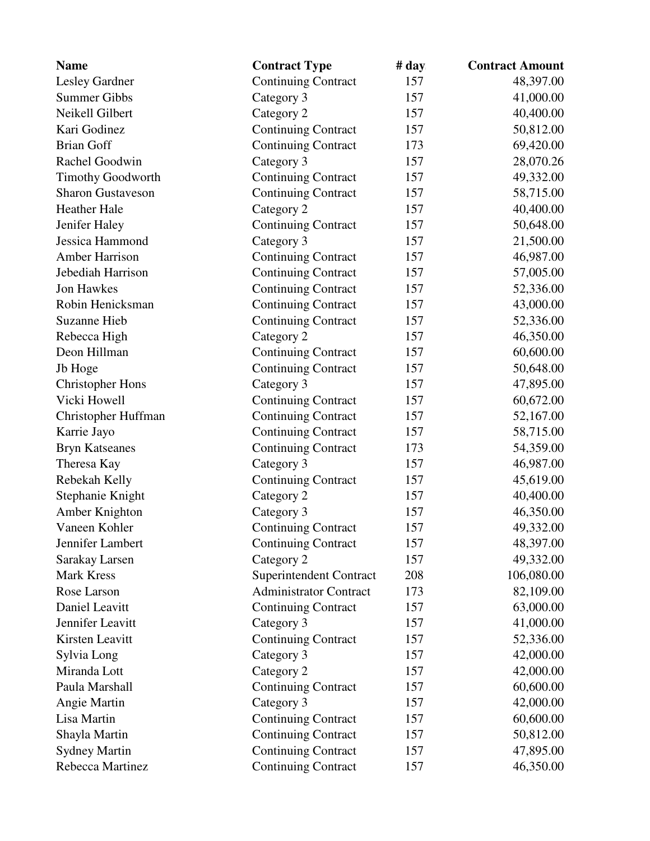| <b>Name</b>              | <b>Contract Type</b>          | # day | <b>Contract Amount</b> |
|--------------------------|-------------------------------|-------|------------------------|
| Lesley Gardner           | <b>Continuing Contract</b>    | 157   | 48,397.00              |
| <b>Summer Gibbs</b>      | Category 3                    | 157   | 41,000.00              |
| Neikell Gilbert          | Category 2                    | 157   | 40,400.00              |
| Kari Godinez             | <b>Continuing Contract</b>    | 157   | 50,812.00              |
| <b>Brian Goff</b>        | <b>Continuing Contract</b>    | 173   | 69,420.00              |
| Rachel Goodwin           | Category 3                    | 157   | 28,070.26              |
| <b>Timothy Goodworth</b> | <b>Continuing Contract</b>    | 157   | 49,332.00              |
| <b>Sharon Gustaveson</b> | <b>Continuing Contract</b>    | 157   | 58,715.00              |
| <b>Heather Hale</b>      | Category 2                    | 157   | 40,400.00              |
| Jenifer Haley            | <b>Continuing Contract</b>    | 157   | 50,648.00              |
| Jessica Hammond          | Category 3                    | 157   | 21,500.00              |
| <b>Amber Harrison</b>    | <b>Continuing Contract</b>    | 157   | 46,987.00              |
| Jebediah Harrison        | <b>Continuing Contract</b>    | 157   | 57,005.00              |
| <b>Jon Hawkes</b>        | <b>Continuing Contract</b>    | 157   | 52,336.00              |
| Robin Henicksman         | <b>Continuing Contract</b>    | 157   | 43,000.00              |
| <b>Suzanne Hieb</b>      | <b>Continuing Contract</b>    | 157   | 52,336.00              |
| Rebecca High             | Category 2                    | 157   | 46,350.00              |
| Deon Hillman             | <b>Continuing Contract</b>    | 157   | 60,600.00              |
| Jb Hoge                  | <b>Continuing Contract</b>    | 157   | 50,648.00              |
| <b>Christopher Hons</b>  | Category 3                    | 157   | 47,895.00              |
| Vicki Howell             | <b>Continuing Contract</b>    | 157   | 60,672.00              |
| Christopher Huffman      | <b>Continuing Contract</b>    | 157   | 52,167.00              |
| Karrie Jayo              | <b>Continuing Contract</b>    | 157   | 58,715.00              |
| <b>Bryn Katseanes</b>    | <b>Continuing Contract</b>    | 173   | 54,359.00              |
| Theresa Kay              | Category 3                    | 157   | 46,987.00              |
| Rebekah Kelly            | <b>Continuing Contract</b>    | 157   | 45,619.00              |
| Stephanie Knight         | Category 2                    | 157   | 40,400.00              |
| Amber Knighton           | Category 3                    | 157   | 46,350.00              |
| Vaneen Kohler            | <b>Continuing Contract</b>    | 157   | 49,332.00              |
| Jennifer Lambert         | <b>Continuing Contract</b>    | 157   | 48,397.00              |
| Sarakay Larsen           | Category 2                    | 157   | 49,332.00              |
| <b>Mark Kress</b>        | Superintendent Contract       | 208   | 106,080.00             |
| Rose Larson              | <b>Administrator Contract</b> | 173   | 82,109.00              |
| Daniel Leavitt           | <b>Continuing Contract</b>    | 157   | 63,000.00              |
| Jennifer Leavitt         | Category 3                    | 157   | 41,000.00              |
| Kirsten Leavitt          | <b>Continuing Contract</b>    | 157   | 52,336.00              |
| Sylvia Long              | Category 3                    | 157   | 42,000.00              |
| Miranda Lott             | Category 2                    | 157   | 42,000.00              |
| Paula Marshall           | <b>Continuing Contract</b>    | 157   | 60,600.00              |
| Angie Martin             | Category 3                    | 157   | 42,000.00              |
| Lisa Martin              | <b>Continuing Contract</b>    | 157   | 60,600.00              |
| Shayla Martin            | <b>Continuing Contract</b>    | 157   | 50,812.00              |
| <b>Sydney Martin</b>     | <b>Continuing Contract</b>    | 157   | 47,895.00              |
| Rebecca Martinez         | <b>Continuing Contract</b>    | 157   | 46,350.00              |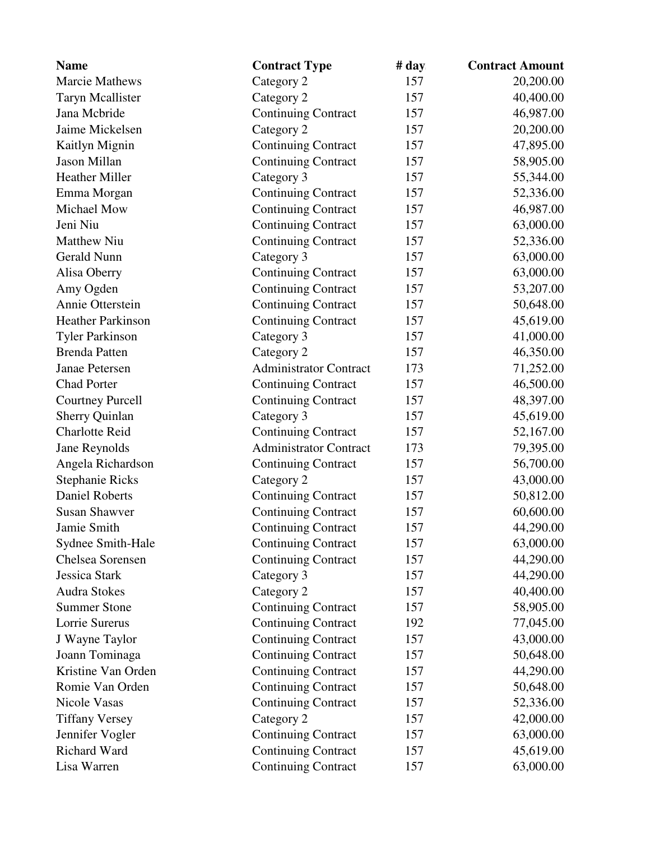| <b>Name</b>              | <b>Contract Type</b>          | # day | <b>Contract Amount</b> |
|--------------------------|-------------------------------|-------|------------------------|
| <b>Marcie Mathews</b>    | Category 2                    | 157   | 20,200.00              |
| <b>Taryn Mcallister</b>  | Category 2                    | 157   | 40,400.00              |
| Jana Mcbride             | <b>Continuing Contract</b>    | 157   | 46,987.00              |
| Jaime Mickelsen          | Category 2                    | 157   | 20,200.00              |
| Kaitlyn Mignin           | <b>Continuing Contract</b>    | 157   | 47,895.00              |
| Jason Millan             | <b>Continuing Contract</b>    | 157   | 58,905.00              |
| Heather Miller           | Category 3                    | 157   | 55,344.00              |
| Emma Morgan              | <b>Continuing Contract</b>    | 157   | 52,336.00              |
| Michael Mow              | <b>Continuing Contract</b>    | 157   | 46,987.00              |
| Jeni Niu                 | <b>Continuing Contract</b>    | 157   | 63,000.00              |
| <b>Matthew Niu</b>       | <b>Continuing Contract</b>    | 157   | 52,336.00              |
| Gerald Nunn              | Category 3                    | 157   | 63,000.00              |
| Alisa Oberry             | <b>Continuing Contract</b>    | 157   | 63,000.00              |
| Amy Ogden                | <b>Continuing Contract</b>    | 157   | 53,207.00              |
| Annie Otterstein         | <b>Continuing Contract</b>    | 157   | 50,648.00              |
| <b>Heather Parkinson</b> | <b>Continuing Contract</b>    | 157   | 45,619.00              |
| <b>Tyler Parkinson</b>   | Category 3                    | 157   | 41,000.00              |
| <b>Brenda Patten</b>     | Category 2                    | 157   | 46,350.00              |
| Janae Petersen           | <b>Administrator Contract</b> | 173   | 71,252.00              |
| <b>Chad Porter</b>       | <b>Continuing Contract</b>    | 157   | 46,500.00              |
| <b>Courtney Purcell</b>  | <b>Continuing Contract</b>    | 157   | 48,397.00              |
| <b>Sherry Quinlan</b>    | Category 3                    | 157   | 45,619.00              |
| <b>Charlotte Reid</b>    | <b>Continuing Contract</b>    | 157   | 52,167.00              |
| Jane Reynolds            | <b>Administrator Contract</b> | 173   | 79,395.00              |
| Angela Richardson        | <b>Continuing Contract</b>    | 157   | 56,700.00              |
| <b>Stephanie Ricks</b>   | Category 2                    | 157   | 43,000.00              |
| <b>Daniel Roberts</b>    | <b>Continuing Contract</b>    | 157   | 50,812.00              |
| <b>Susan Shawver</b>     | <b>Continuing Contract</b>    | 157   | 60,600.00              |
| Jamie Smith              | <b>Continuing Contract</b>    | 157   | 44,290.00              |
| Sydnee Smith-Hale        | <b>Continuing Contract</b>    | 157   | 63,000.00              |
| Chelsea Sorensen         | <b>Continuing Contract</b>    | 157   | 44,290.00              |
| Jessica Stark            | Category 3                    | 157   | 44,290.00              |
| <b>Audra Stokes</b>      | Category 2                    | 157   | 40,400.00              |
| <b>Summer Stone</b>      | <b>Continuing Contract</b>    | 157   | 58,905.00              |
| Lorrie Surerus           | <b>Continuing Contract</b>    | 192   | 77,045.00              |
| J Wayne Taylor           | <b>Continuing Contract</b>    | 157   | 43,000.00              |
| Joann Tominaga           | <b>Continuing Contract</b>    | 157   | 50,648.00              |
| Kristine Van Orden       | <b>Continuing Contract</b>    | 157   | 44,290.00              |
| Romie Van Orden          | <b>Continuing Contract</b>    | 157   | 50,648.00              |
| Nicole Vasas             | <b>Continuing Contract</b>    | 157   | 52,336.00              |
| <b>Tiffany Versey</b>    | Category 2                    | 157   | 42,000.00              |
| Jennifer Vogler          | <b>Continuing Contract</b>    | 157   | 63,000.00              |
| Richard Ward             | <b>Continuing Contract</b>    | 157   | 45,619.00              |
| Lisa Warren              | <b>Continuing Contract</b>    | 157   | 63,000.00              |